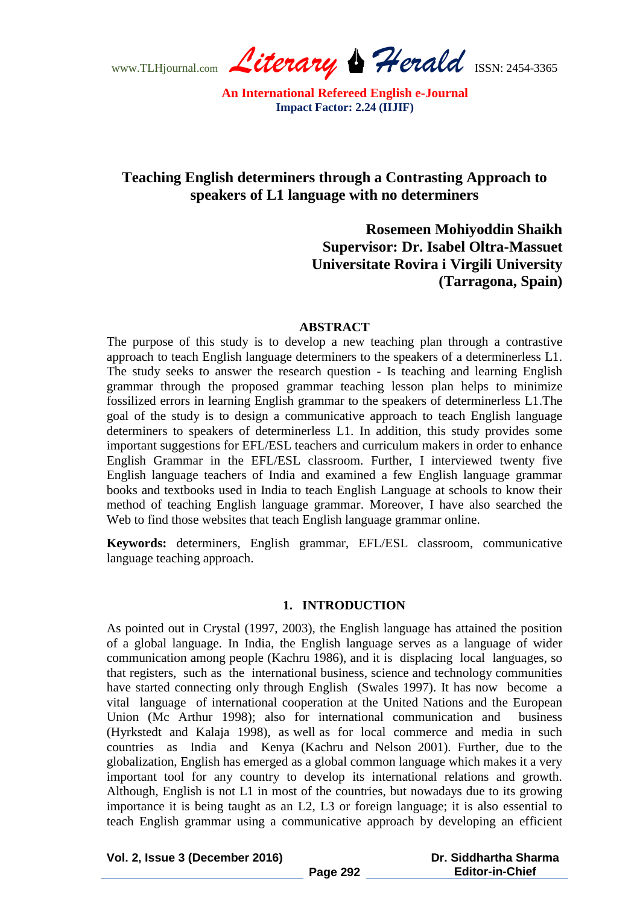www.TLHjournal.com *Literary Herald*ISSN: 2454-3365

# **Teaching English determiners through a Contrasting Approach to speakers of L1 language with no determiners**

**Rosemeen Mohiyoddin Shaikh Supervisor: Dr. Isabel Oltra-Massuet Universitate Rovira i Virgili University (Tarragona, Spain)**

#### **ABSTRACT**

The purpose of this study is to develop a new teaching plan through a contrastive approach to teach English language determiners to the speakers of a determinerless L1. The study seeks to answer the research question - Is teaching and learning English grammar through the proposed grammar teaching lesson plan helps to minimize fossilized errors in learning English grammar to the speakers of determinerless L1.The goal of the study is to design a communicative approach to teach English language determiners to speakers of determinerless L1. In addition, this study provides some important suggestions for EFL/ESL teachers and curriculum makers in order to enhance English Grammar in the EFL/ESL classroom. Further, I interviewed twenty five English language teachers of India and examined a few English language grammar books and textbooks used in India to teach English Language at schools to know their method of teaching English language grammar. Moreover, I have also searched the Web to find those websites that teach English language grammar online.

**Keywords:** determiners, English grammar, EFL/ESL classroom, communicative language teaching approach.

# **1. INTRODUCTION**

As pointed out in Crystal (1997, 2003), the English language has attained the position of a global language. In India, the English language serves as a language of wider communication among people (Kachru 1986), and it is displacing local languages, so that registers, such as the international business, science and technology communities have started connecting only through English (Swales 1997). It has now become a vital language of international cooperation at the United Nations and the European Union (Mc Arthur 1998); also for international communication and business (Hyrkstedt and Kalaja 1998), as well as for local commerce and media in such countries as India and Kenya (Kachru and Nelson 2001). Further, due to the globalization, English has emerged as a global common language which makes it a very important tool for any country to develop its international relations and growth. Although, English is not L1 in most of the countries, but nowadays due to its growing importance it is being taught as an L2, L3 or foreign language; it is also essential to teach English grammar using a communicative approach by developing an efficient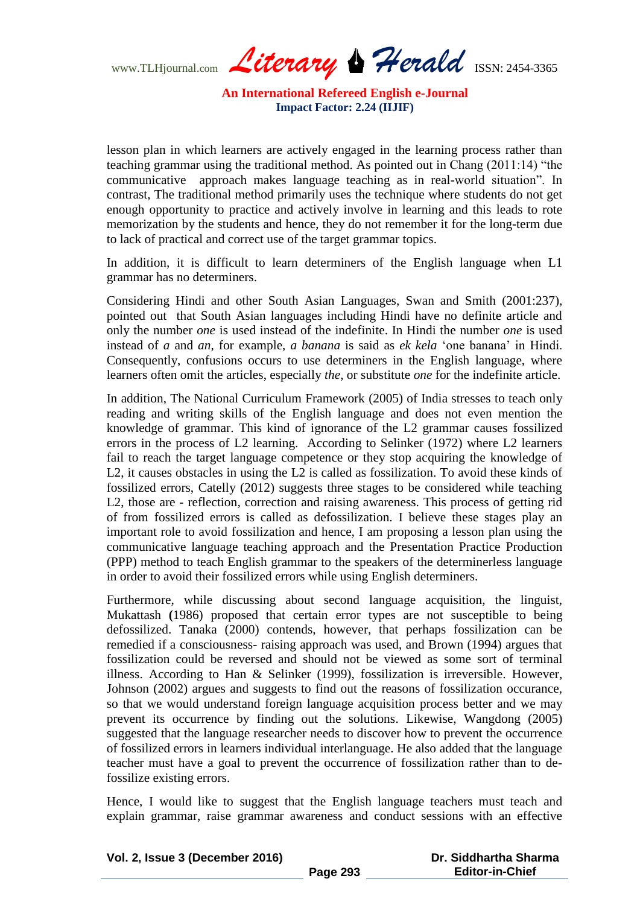www.TLHjournal.com *Literary Herald*ISSN: 2454-3365

lesson plan in which learners are actively engaged in the learning process rather than teaching grammar using the traditional method. As pointed out in Chang  $(2011:14)$  "the communicative approach makes language teaching as in real-world situation". In contrast, The traditional method primarily uses the technique where students do not get enough opportunity to practice and actively involve in learning and this leads to rote memorization by the students and hence, they do not remember it for the long-term due to lack of practical and correct use of the target grammar topics.

In addition, it is difficult to learn determiners of the English language when L1 grammar has no determiners.

Considering Hindi and other South Asian Languages, Swan and Smith (2001:237), pointed out that South Asian languages including Hindi have no definite article and only the number *one* is used instead of the indefinite. In Hindi the number *one* is used instead of *a* and *an*, for example, *a banana* is said as *ek kela* 'one banana' in Hindi. Consequently, confusions occurs to use determiners in the English language, where learners often omit the articles, especially *the*, or substitute *one* for the indefinite article.

In addition, The National Curriculum Framework (2005) of India stresses to teach only reading and writing skills of the English language and does not even mention the knowledge of grammar. This kind of ignorance of the L2 grammar causes fossilized errors in the process of L2 learning. According to Selinker (1972) where L2 learners fail to reach the target language competence or they stop acquiring the knowledge of L2, it causes obstacles in using the L2 is called as fossilization. To avoid these kinds of fossilized errors, Catelly (2012) suggests three stages to be considered while teaching L2, those are - reflection, correction and raising awareness. This process of getting rid of from fossilized errors is called as defossilization. I believe these stages play an important role to avoid fossilization and hence, I am proposing a lesson plan using the communicative language teaching approach and the Presentation Practice Production (PPP) method to teach English grammar to the speakers of the determinerless language in order to avoid their fossilized errors while using English determiners.

Furthermore, while discussing about second language acquisition, the linguist, Mukattash **(**1986) proposed that certain error types are not susceptible to being defossilized. Tanaka (2000) contends, however, that perhaps fossilization can be remedied if a consciousness- raising approach was used, and Brown (1994) argues that fossilization could be reversed and should not be viewed as some sort of terminal illness. According to Han & Selinker (1999), fossilization is irreversible. However, Johnson (2002) argues and suggests to find out the reasons of fossilization occurance, so that we would understand foreign language acquisition process better and we may prevent its occurrence by finding out the solutions. Likewise, Wangdong (2005) suggested that the language researcher needs to discover how to prevent the occurrence of fossilized errors in learners individual interlanguage. He also added that the language teacher must have a goal to prevent the occurrence of fossilization rather than to defossilize existing errors.

Hence, I would like to suggest that the English language teachers must teach and explain grammar, raise grammar awareness and conduct sessions with an effective

| Vol. 2, Issue 3 (December 2016) |          | Dr. Siddhartha Sharma  |
|---------------------------------|----------|------------------------|
|                                 | Page 293 | <b>Editor-in-Chief</b> |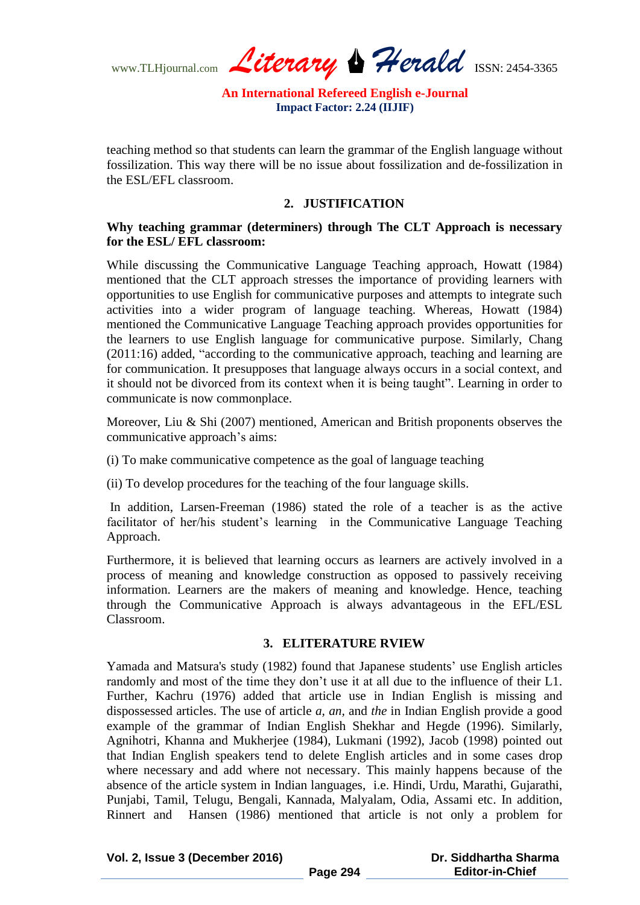www.TLHjournal.com *Literary Herald*ISSN: 2454-3365

teaching method so that students can learn the grammar of the English language without fossilization. This way there will be no issue about fossilization and de-fossilization in the ESL/EFL classroom.

### **2. JUSTIFICATION**

# **Why teaching grammar (determiners) through The CLT Approach is necessary for the ESL/ EFL classroom:**

While discussing the Communicative Language Teaching approach, Howatt (1984) mentioned that the CLT approach stresses the importance of providing learners with opportunities to use English for communicative purposes and attempts to integrate such activities into a wider program of language teaching. Whereas, Howatt (1984) mentioned the Communicative Language Teaching approach provides opportunities for the learners to use English language for communicative purpose. Similarly, Chang  $(2011:16)$  added, "according to the communicative approach, teaching and learning are for communication. It presupposes that language always occurs in a social context, and it should not be divorced from its context when it is being taught". Learning in order to communicate is now commonplace.

Moreover, Liu & Shi (2007) mentioned, American and British proponents observes the communicative approach's aims:

(i) To make communicative competence as the goal of language teaching

(ii) To develop procedures for the teaching of the four language skills.

In addition, Larsen-Freeman (1986) stated the role of a teacher is as the active facilitator of her/his student's learning in the Communicative Language Teaching Approach.

Furthermore, it is believed that learning occurs as learners are actively involved in a process of meaning and knowledge construction as opposed to passively receiving information. Learners are the makers of meaning and knowledge. Hence, teaching through the Communicative Approach is always advantageous in the EFL/ESL Classroom.

#### **3. ELITERATURE RVIEW**

Yamada and Matsura's study (1982) found that Japanese students' use English articles randomly and most of the time they don't use it at all due to the influence of their L1. Further, Kachru (1976) added that article use in Indian English is missing and dispossessed articles. The use of article *a, an,* and *the* in Indian English provide a good example of the grammar of Indian English Shekhar and Hegde (1996). Similarly, Agnihotri, Khanna and Mukherjee (1984), Lukmani (1992), Jacob (1998) pointed out that Indian English speakers tend to delete English articles and in some cases drop where necessary and add where not necessary. This mainly happens because of the absence of the article system in Indian languages, i.e. Hindi, Urdu, Marathi, Gujarathi, Punjabi, Tamil, Telugu, Bengali, Kannada, Malyalam, Odia, Assami etc. In addition, Rinnert and Hansen (1986) mentioned that article is not only a problem for

**Vol. 2, Issue 3 (December 2016)**

 **Dr. Siddhartha Sharma Editor-in-Chief**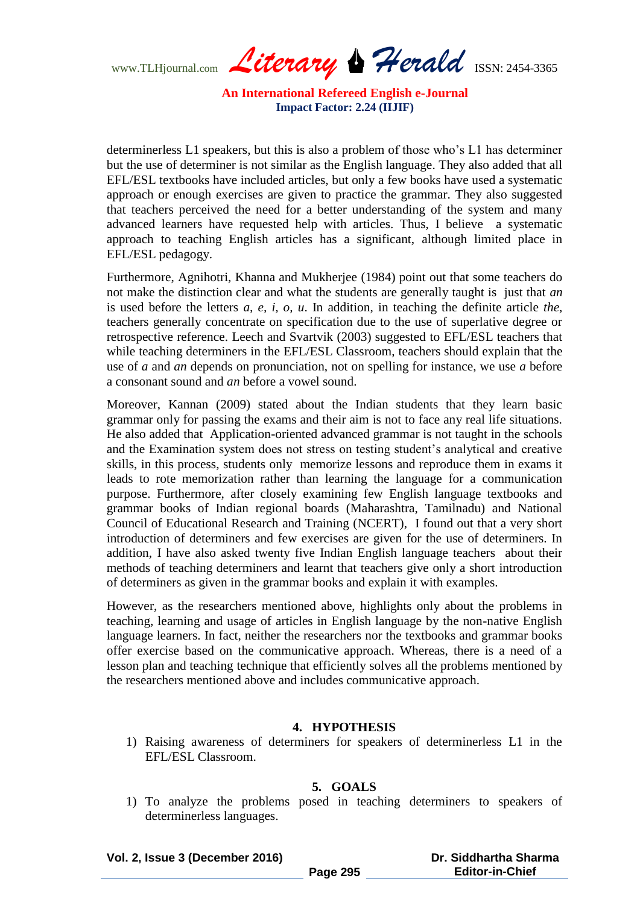www.TLHjournal.com *Literary Herald*ISSN: 2454-3365

determinerless L1 speakers, but this is also a problem of those who's L1 has determiner but the use of determiner is not similar as the English language. They also added that all EFL/ESL textbooks have included articles, but only a few books have used a systematic approach or enough exercises are given to practice the grammar. They also suggested that teachers perceived the need for a better understanding of the system and many advanced learners have requested help with articles. Thus, I believe a systematic approach to teaching English articles has a significant, although limited place in EFL/ESL pedagogy.

Furthermore, Agnihotri, Khanna and Mukherjee (1984) point out that some teachers do not make the distinction clear and what the students are generally taught is just that *an* is used before the letters *a, e, i, o, u*. In addition, in teaching the definite article *the*, teachers generally concentrate on specification due to the use of superlative degree or retrospective reference. Leech and Svartvik (2003) suggested to EFL/ESL teachers that while teaching determiners in the EFL/ESL Classroom, teachers should explain that the use of *a* and *an* depends on pronunciation, not on spelling for instance, we use *a* before a consonant sound and *an* before a vowel sound.

Moreover, Kannan (2009) stated about the Indian students that they learn basic grammar only for passing the exams and their aim is not to face any real life situations. He also added that Application-oriented advanced grammar is not taught in the schools and the Examination system does not stress on testing student's analytical and creative skills, in this process, students only memorize lessons and reproduce them in exams it leads to rote memorization rather than learning the language for a communication purpose. Furthermore, after closely examining few English language textbooks and grammar books of Indian regional boards (Maharashtra, Tamilnadu) and National Council of Educational Research and Training (NCERT), I found out that a very short introduction of determiners and few exercises are given for the use of determiners. In addition, I have also asked twenty five Indian English language teachers about their methods of teaching determiners and learnt that teachers give only a short introduction of determiners as given in the grammar books and explain it with examples.

However, as the researchers mentioned above, highlights only about the problems in teaching, learning and usage of articles in English language by the non-native English language learners. In fact, neither the researchers nor the textbooks and grammar books offer exercise based on the communicative approach. Whereas, there is a need of a lesson plan and teaching technique that efficiently solves all the problems mentioned by the researchers mentioned above and includes communicative approach.

#### **4. HYPOTHESIS**

1) Raising awareness of determiners for speakers of determinerless L1 in the EFL/ESL Classroom.

### **5. GOALS**

1) To analyze the problems posed in teaching determiners to speakers of determinerless languages.

**Vol. 2, Issue 3 (December 2016)**

#### **Dr. Siddhartha Sharma Editor-in-Chief**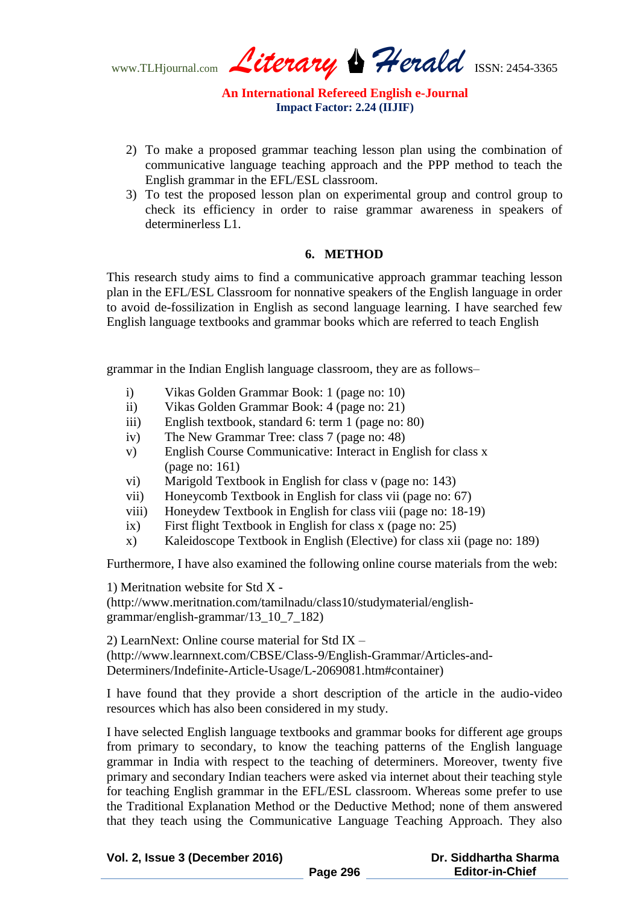www.TLHjournal.com *Literary Herald*ISSN: 2454-3365

- 2) To make a proposed grammar teaching lesson plan using the combination of communicative language teaching approach and the PPP method to teach the English grammar in the EFL/ESL classroom.
- 3) To test the proposed lesson plan on experimental group and control group to check its efficiency in order to raise grammar awareness in speakers of determinerless L1.

# **6. METHOD**

This research study aims to find a communicative approach grammar teaching lesson plan in the EFL/ESL Classroom for nonnative speakers of the English language in order to avoid de-fossilization in English as second language learning. I have searched few English language textbooks and grammar books which are referred to teach English

grammar in the Indian English language classroom, they are as follows–

- i) Vikas Golden Grammar Book: 1 (page no: 10)
- ii) Vikas Golden Grammar Book: 4 (page no: 21)
- iii) English textbook, standard 6: term 1 (page no: 80)
- iv) The New Grammar Tree: class 7 (page no: 48)
- v) English Course Communicative: Interact in English for class x (page no: 161)
- vi) Marigold Textbook in English for class v (page no: 143)
- vii) Honeycomb Textbook in English for class vii (page no: 67)
- viii) Honeydew Textbook in English for class viii (page no: 18-19)
- ix) First flight Textbook in English for class x (page no: 25)
- x) Kaleidoscope Textbook in English (Elective) for class xii (page no: 189)

Furthermore, I have also examined the following online course materials from the web:

1) Meritnation website for Std X - (http://www.meritnation.com/tamilnadu/class10/studymaterial/englishgrammar/english-grammar/13\_10\_7\_182)

2) LearnNext: Online course material for Std IX – (http://www.learnnext.com/CBSE/Class-9/English-Grammar/Articles-and-Determiners/Indefinite-Article-Usage/L-2069081.htm#container)

I have found that they provide a short description of the article in the audio-video resources which has also been considered in my study.

I have selected English language textbooks and grammar books for different age groups from primary to secondary, to know the teaching patterns of the English language grammar in India with respect to the teaching of determiners. Moreover, twenty five primary and secondary Indian teachers were asked via internet about their teaching style for teaching English grammar in the EFL/ESL classroom. Whereas some prefer to use the Traditional Explanation Method or the Deductive Method; none of them answered that they teach using the Communicative Language Teaching Approach. They also

| Vol. 2, Issue 3 (December 2016) |          | Dr. Siddhartha Sharma  |
|---------------------------------|----------|------------------------|
|                                 | Page 296 | <b>Editor-in-Chief</b> |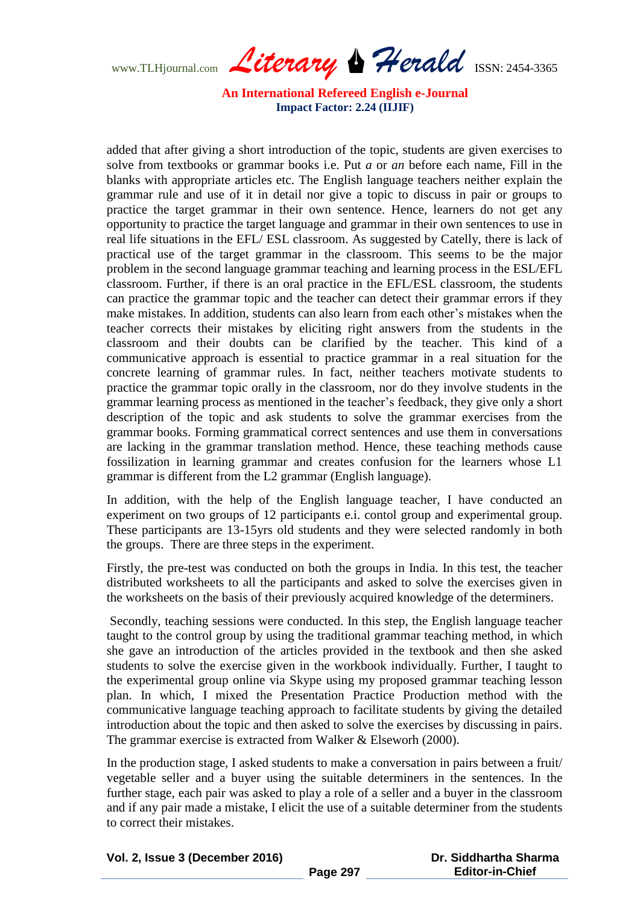www.TLHjournal.com *Literary Herald*ISSN: 2454-3365

added that after giving a short introduction of the topic, students are given exercises to solve from textbooks or grammar books i.e. Put *a* or *an* before each name, Fill in the blanks with appropriate articles etc. The English language teachers neither explain the grammar rule and use of it in detail nor give a topic to discuss in pair or groups to practice the target grammar in their own sentence. Hence, learners do not get any opportunity to practice the target language and grammar in their own sentences to use in real life situations in the EFL/ ESL classroom. As suggested by Catelly, there is lack of practical use of the target grammar in the classroom. This seems to be the major problem in the second language grammar teaching and learning process in the ESL/EFL classroom. Further, if there is an oral practice in the EFL/ESL classroom, the students can practice the grammar topic and the teacher can detect their grammar errors if they make mistakes. In addition, students can also learn from each other's mistakes when the teacher corrects their mistakes by eliciting right answers from the students in the classroom and their doubts can be clarified by the teacher. This kind of a communicative approach is essential to practice grammar in a real situation for the concrete learning of grammar rules. In fact, neither teachers motivate students to practice the grammar topic orally in the classroom, nor do they involve students in the grammar learning process as mentioned in the teacher's feedback, they give only a short description of the topic and ask students to solve the grammar exercises from the grammar books. Forming grammatical correct sentences and use them in conversations are lacking in the grammar translation method. Hence, these teaching methods cause fossilization in learning grammar and creates confusion for the learners whose L1 grammar is different from the L2 grammar (English language).

In addition, with the help of the English language teacher, I have conducted an experiment on two groups of 12 participants e.i. contol group and experimental group. These participants are 13-15yrs old students and they were selected randomly in both the groups. There are three steps in the experiment.

Firstly, the pre-test was conducted on both the groups in India. In this test, the teacher distributed worksheets to all the participants and asked to solve the exercises given in the worksheets on the basis of their previously acquired knowledge of the determiners.

Secondly, teaching sessions were conducted. In this step, the English language teacher taught to the control group by using the traditional grammar teaching method, in which she gave an introduction of the articles provided in the textbook and then she asked students to solve the exercise given in the workbook individually. Further, I taught to the experimental group online via Skype using my proposed grammar teaching lesson plan. In which, I mixed the Presentation Practice Production method with the communicative language teaching approach to facilitate students by giving the detailed introduction about the topic and then asked to solve the exercises by discussing in pairs. The grammar exercise is extracted from Walker & Elseworh (2000).

In the production stage, I asked students to make a conversation in pairs between a fruit/ vegetable seller and a buyer using the suitable determiners in the sentences. In the further stage, each pair was asked to play a role of a seller and a buyer in the classroom and if any pair made a mistake, I elicit the use of a suitable determiner from the students to correct their mistakes.

| Vol. 2, Issue 3 (December 2016) |          | Dr. Siddhartha Sharma  |
|---------------------------------|----------|------------------------|
|                                 | Page 297 | <b>Editor-in-Chief</b> |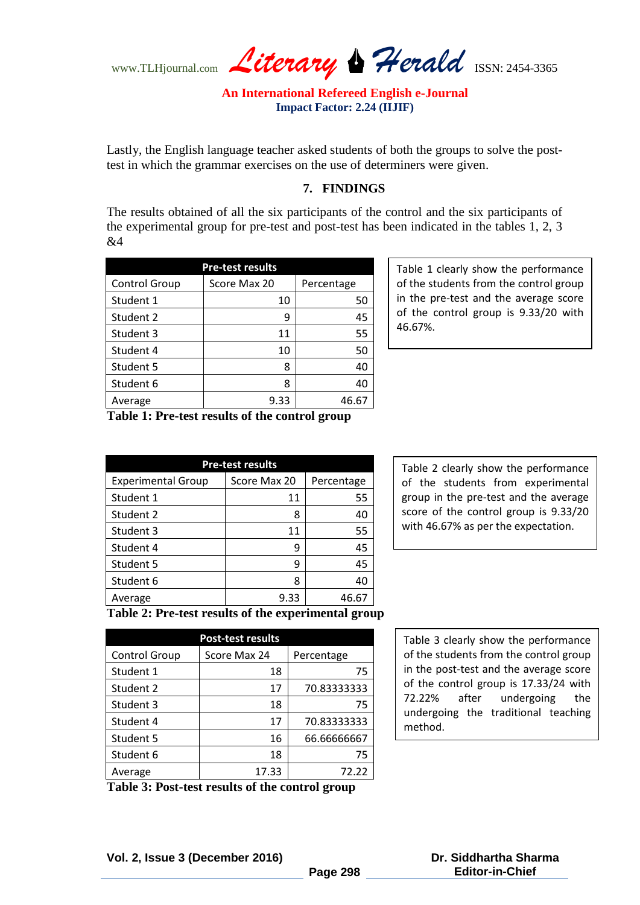www.TLHjournal.com *Literary Herald*ISSN: 2454-3365

Lastly, the English language teacher asked students of both the groups to solve the posttest in which the grammar exercises on the use of determiners were given.

# **7. FINDINGS**

The results obtained of all the six participants of the control and the six participants of the experimental group for pre-test and post-test has been indicated in the tables 1, 2, 3 &4

| <b>Pre-test results</b> |              |            |
|-------------------------|--------------|------------|
| <b>Control Group</b>    | Score Max 20 | Percentage |
| Student 1               | 10           | 50         |
| Student 2               | 9            | 45         |
| Student 3               | 11           | 55         |
| Student 4               | 10           | 50         |
| Student 5               | 8            | 40         |
| Student 6               | 8            | 40         |
| Average                 | 9.33         | 46.67      |

Table 1 clearly show the performance of the students from the control group in the pre-test and the average score of the control group is 9.33/20 with 46.67%.

**Table 1: Pre-test results of the control group**

| <b>Pre-test results</b>   |              |            |  |  |
|---------------------------|--------------|------------|--|--|
| <b>Experimental Group</b> | Score Max 20 | Percentage |  |  |
| Student 1                 | 11           | 55         |  |  |
| Student 2                 | 8            | 40         |  |  |
| Student 3                 | 11           | 55         |  |  |
| Student 4                 | ٩            | 45         |  |  |
| Student 5                 | 9            | 45         |  |  |
| Student 6                 | 8            | 40         |  |  |
| Average                   | 9.33         | 46.67      |  |  |

Table 2 clearly show the performance of the students from experimental group in the pre-test and the average score of the control group is 9.33/20 with 46.67% as per the expectation.

**Table 2: Pre-test results of the experimental group**

| <b>Post-test results</b> |              |             |  |
|--------------------------|--------------|-------------|--|
| <b>Control Group</b>     | Score Max 24 | Percentage  |  |
| Student 1                | 18           | 75          |  |
| Student 2                | 17           | 70.83333333 |  |
| Student 3                | 18           | 75          |  |
| Student 4                | 17           | 70.83333333 |  |
| Student 5                | 16           | 66.66666667 |  |
| Student 6                | 18           | 75          |  |
| Average                  | 17.33        | 72.22       |  |

Table 3 clearly show the performance of the students from the control group in the post-test and the average score of the control group is 17.33/24 with 72.22% after undergoing the undergoing the traditional teaching method.

**Table 3: Post-test results of the control group**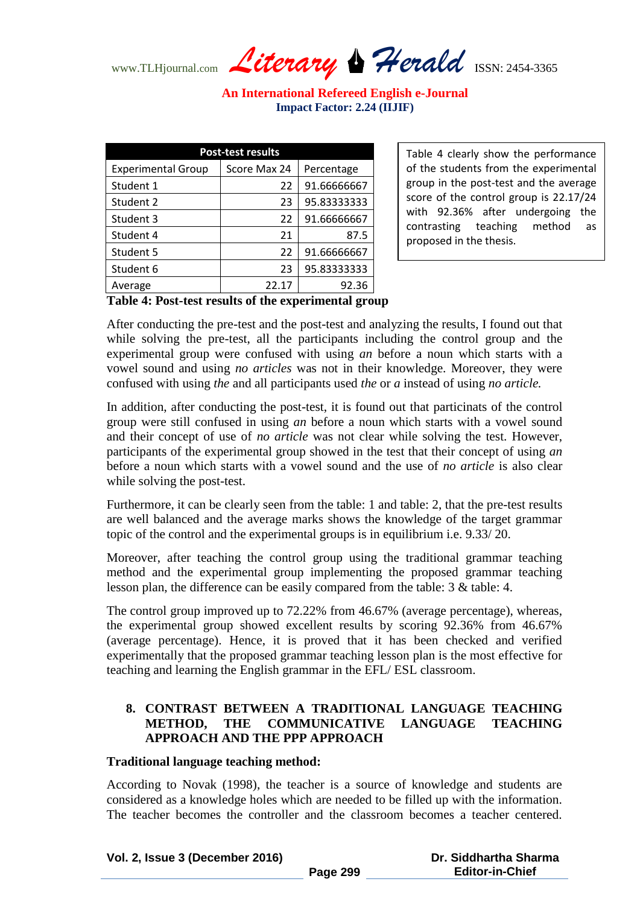www.TLHjournal.com *Literary Herald*ISSN: 2454-3365

| <b>Post-test results</b> |             |  |  |
|--------------------------|-------------|--|--|
| Score Max 24             | Percentage  |  |  |
| 22                       | 91.66666667 |  |  |
| 23                       | 95.83333333 |  |  |
| 22                       | 91.66666667 |  |  |
| 21                       | 87.5        |  |  |
| 22                       | 91.66666667 |  |  |
| 23                       | 95.83333333 |  |  |
| 22.17                    | 92.36       |  |  |
|                          |             |  |  |

Table 4 clearly show the performance of the students from the experimental group in the post-test and the average score of the control group is 22.17/24 with 92.36% after undergoing the contrasting teaching method as proposed in the thesis.

# **Table 4: Post-test results of the experimental group**

After conducting the pre-test and the post-test and analyzing the results, I found out that while solving the pre-test, all the participants including the control group and the experimental group were confused with using *an* before a noun which starts with a vowel sound and using *no articles* was not in their knowledge. Moreover, they were confused with using *the* and all participants used *the* or *a* instead of using *no article.*

In addition, after conducting the post-test, it is found out that particinats of the control group were still confused in using *an* before a noun which starts with a vowel sound and their concept of use of *no article* was not clear while solving the test. However, participants of the experimental group showed in the test that their concept of using *an*  before a noun which starts with a vowel sound and the use of *no article* is also clear while solving the post-test.

Furthermore, it can be clearly seen from the table: 1 and table: 2, that the pre-test results are well balanced and the average marks shows the knowledge of the target grammar topic of the control and the experimental groups is in equilibrium i.e. 9.33/ 20.

Moreover, after teaching the control group using the traditional grammar teaching method and the experimental group implementing the proposed grammar teaching lesson plan, the difference can be easily compared from the table: 3 & table: 4.

The control group improved up to 72.22% from 46.67% (average percentage), whereas, the experimental group showed excellent results by scoring 92.36% from 46.67% (average percentage). Hence, it is proved that it has been checked and verified experimentally that the proposed grammar teaching lesson plan is the most effective for teaching and learning the English grammar in the EFL/ ESL classroom.

# **8. CONTRAST BETWEEN A TRADITIONAL LANGUAGE TEACHING METHOD, THE COMMUNICATIVE LANGUAGE TEACHING APPROACH AND THE PPP APPROACH**

# **Traditional language teaching method:**

According to Novak (1998), the teacher is a source of knowledge and students are considered as a knowledge holes which are needed to be filled up with the information. The teacher becomes the controller and the classroom becomes a teacher centered.

| Vol. 2, Issue 3 (December 2016) |  |  |  |  |
|---------------------------------|--|--|--|--|
|---------------------------------|--|--|--|--|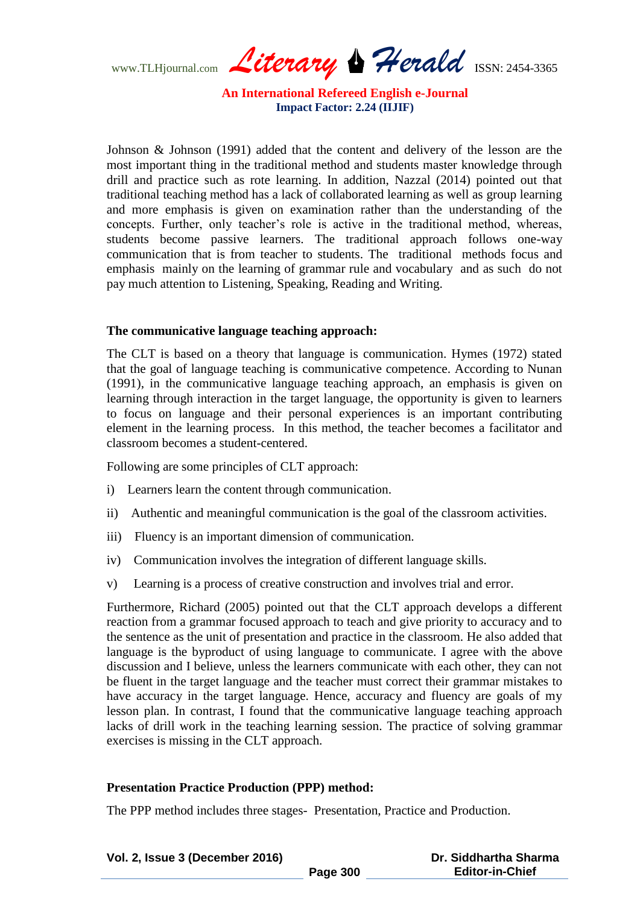www.TLHjournal.com *Literary Herald*ISSN: 2454-3365

Johnson & Johnson (1991) added that the content and delivery of the lesson are the most important thing in the traditional method and students master knowledge through drill and practice such as rote learning. In addition, Nazzal (2014) pointed out that traditional teaching method has a lack of collaborated learning as well as group learning and more emphasis is given on examination rather than the understanding of the concepts. Further, only teacher's role is active in the traditional method, whereas, students become passive learners. The traditional approach follows one-way communication that is from teacher to students. The traditional methods focus and emphasis mainly on the learning of grammar rule and vocabulary and as such do not pay much attention to Listening, Speaking, Reading and Writing.

#### **The communicative language teaching approach:**

The CLT is based on a theory that language is communication. Hymes (1972) stated that the goal of language teaching is communicative competence. According to Nunan (1991), in the communicative language teaching approach, an emphasis is given on learning through interaction in the target language, the opportunity is given to learners to focus on language and their personal experiences is an important contributing element in the learning process. In this method, the teacher becomes a facilitator and classroom becomes a student-centered.

Following are some principles of CLT approach:

- i) Learners learn the content through communication.
- ii) Authentic and meaningful communication is the goal of the classroom activities.
- iii) Fluency is an important dimension of communication.
- iv) Communication involves the integration of different language skills.
- v) Learning is a process of creative construction and involves trial and error.

Furthermore, Richard (2005) pointed out that the CLT approach develops a different reaction from a grammar focused approach to teach and give priority to accuracy and to the sentence as the unit of presentation and practice in the classroom. He also added that language is the byproduct of using language to communicate. I agree with the above discussion and I believe, unless the learners communicate with each other, they can not be fluent in the target language and the teacher must correct their grammar mistakes to have accuracy in the target language. Hence, accuracy and fluency are goals of my lesson plan. In contrast, I found that the communicative language teaching approach lacks of drill work in the teaching learning session. The practice of solving grammar exercises is missing in the CLT approach.

#### **Presentation Practice Production (PPP) method:**

The PPP method includes three stages- Presentation, Practice and Production.

| Vol. 2, Issue 3 (December 2016) |          | Dr. Siddhartha Sharma  |
|---------------------------------|----------|------------------------|
|                                 | Page 300 | <b>Editor-in-Chief</b> |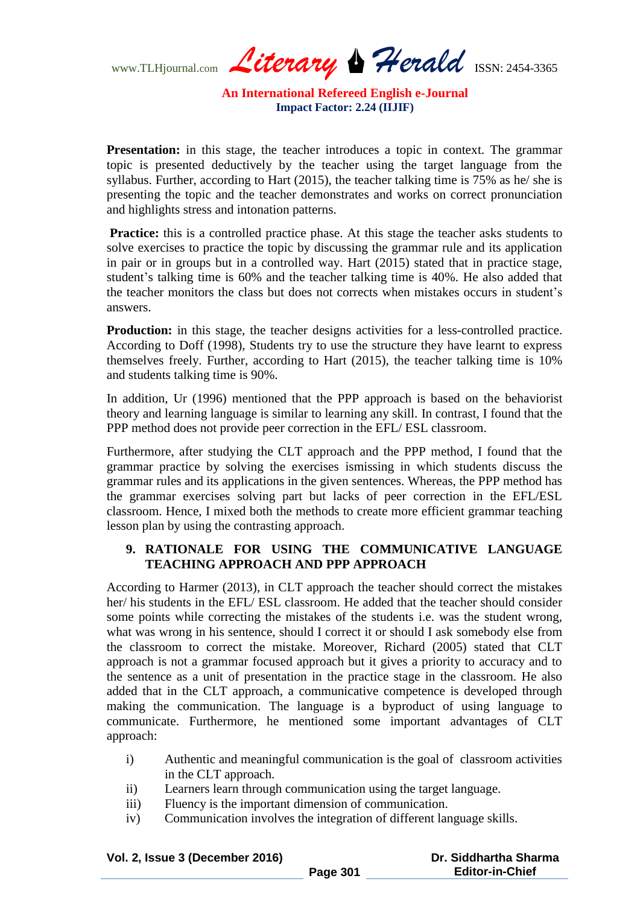www.TLHjournal.com *Literary Herald*ISSN: 2454-3365

**Presentation:** in this stage, the teacher introduces a topic in context. The grammar topic is presented deductively by the teacher using the target language from the syllabus. Further, according to Hart (2015), the teacher talking time is 75% as he/ she is presenting the topic and the teacher demonstrates and works on correct pronunciation and highlights stress and intonation patterns.

**Practice:** this is a controlled practice phase. At this stage the teacher asks students to solve exercises to practice the topic by discussing the grammar rule and its application in pair or in groups but in a controlled way. Hart (2015) stated that in practice stage, student's talking time is 60% and the teacher talking time is 40%. He also added that the teacher monitors the class but does not corrects when mistakes occurs in student's answers.

**Production:** in this stage, the teacher designs activities for a less-controlled practice. According to Doff (1998), Students try to use the structure they have learnt to express themselves freely. Further, according to Hart (2015), the teacher talking time is 10% and students talking time is 90%.

In addition, Ur (1996) mentioned that the PPP approach is based on the behaviorist theory and learning language is similar to learning any skill. In contrast, I found that the PPP method does not provide peer correction in the EFL/ ESL classroom.

Furthermore, after studying the CLT approach and the PPP method, I found that the grammar practice by solving the exercises ismissing in which students discuss the grammar rules and its applications in the given sentences. Whereas, the PPP method has the grammar exercises solving part but lacks of peer correction in the EFL/ESL classroom. Hence, I mixed both the methods to create more efficient grammar teaching lesson plan by using the contrasting approach.

# **9. RATIONALE FOR USING THE COMMUNICATIVE LANGUAGE TEACHING APPROACH AND PPP APPROACH**

According to Harmer (2013), in CLT approach the teacher should correct the mistakes her/ his students in the EFL/ ESL classroom. He added that the teacher should consider some points while correcting the mistakes of the students i.e. was the student wrong, what was wrong in his sentence, should I correct it or should I ask somebody else from the classroom to correct the mistake. Moreover, Richard (2005) stated that CLT approach is not a grammar focused approach but it gives a priority to accuracy and to the sentence as a unit of presentation in the practice stage in the classroom. He also added that in the CLT approach, a communicative competence is developed through making the communication. The language is a byproduct of using language to communicate. Furthermore, he mentioned some important advantages of CLT approach:

- i) Authentic and meaningful communication is the goal of classroom activities in the CLT approach.
- ii) Learners learn through communication using the target language.
- iii) Fluency is the important dimension of communication.
- iv) Communication involves the integration of different language skills.

| Vol. 2, Issue 3 (December 2016) |          | Dr. Siddhartha Sharma  |
|---------------------------------|----------|------------------------|
|                                 | Page 301 | <b>Editor-in-Chief</b> |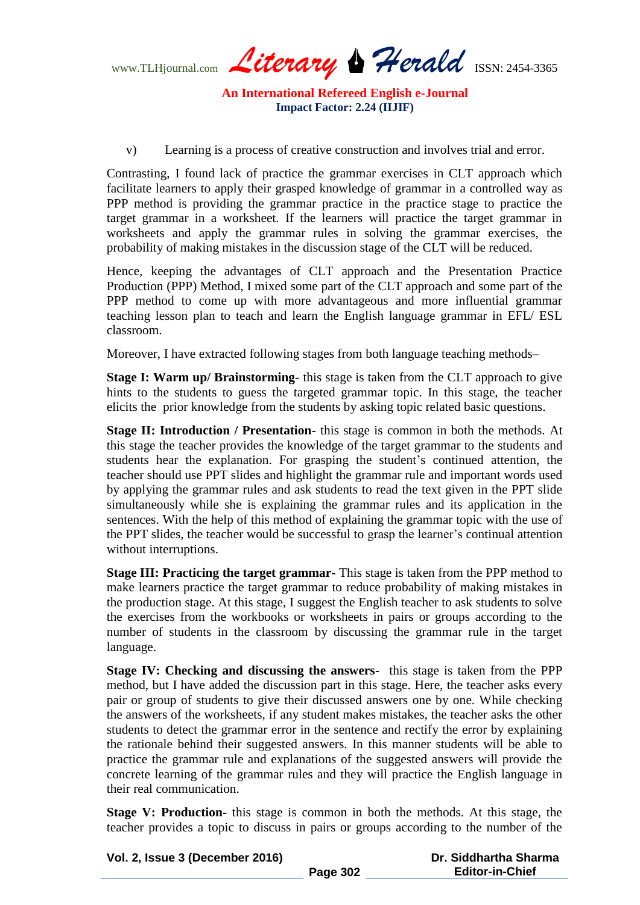www.TLHjournal.com *Literary Herald*ISSN: 2454-3365

v) Learning is a process of creative construction and involves trial and error.

Contrasting, I found lack of practice the grammar exercises in CLT approach which facilitate learners to apply their grasped knowledge of grammar in a controlled way as PPP method is providing the grammar practice in the practice stage to practice the target grammar in a worksheet. If the learners will practice the target grammar in worksheets and apply the grammar rules in solving the grammar exercises, the probability of making mistakes in the discussion stage of the CLT will be reduced.

Hence, keeping the advantages of CLT approach and the Presentation Practice Production (PPP) Method, I mixed some part of the CLT approach and some part of the PPP method to come up with more advantageous and more influential grammar teaching lesson plan to teach and learn the English language grammar in EFL/ ESL classroom.

Moreover, I have extracted following stages from both language teaching methods–

**Stage I: Warm up/ Brainstorming**- this stage is taken from the CLT approach to give hints to the students to guess the targeted grammar topic. In this stage, the teacher elicits the prior knowledge from the students by asking topic related basic questions.

**Stage II: Introduction / Presentation-** this stage is common in both the methods. At this stage the teacher provides the knowledge of the target grammar to the students and students hear the explanation. For grasping the student's continued attention, the teacher should use PPT slides and highlight the grammar rule and important words used by applying the grammar rules and ask students to read the text given in the PPT slide simultaneously while she is explaining the grammar rules and its application in the sentences. With the help of this method of explaining the grammar topic with the use of the PPT slides, the teacher would be successful to grasp the learner's continual attention without interruptions.

**Stage III: Practicing the target grammar-** This stage is taken from the PPP method to make learners practice the target grammar to reduce probability of making mistakes in the production stage. At this stage, I suggest the English teacher to ask students to solve the exercises from the workbooks or worksheets in pairs or groups according to the number of students in the classroom by discussing the grammar rule in the target language.

**Stage IV: Checking and discussing the answers-** this stage is taken from the PPP method, but I have added the discussion part in this stage. Here, the teacher asks every pair or group of students to give their discussed answers one by one. While checking the answers of the worksheets, if any student makes mistakes, the teacher asks the other students to detect the grammar error in the sentence and rectify the error by explaining the rationale behind their suggested answers. In this manner students will be able to practice the grammar rule and explanations of the suggested answers will provide the concrete learning of the grammar rules and they will practice the English language in their real communication.

**Stage V: Production-** this stage is common in both the methods. At this stage, the teacher provides a topic to discuss in pairs or groups according to the number of the

| Vol. 2, Issue 3 (December 2016) |          | Dr. Siddhartha Sharma  |
|---------------------------------|----------|------------------------|
|                                 | Page 302 | <b>Editor-in-Chief</b> |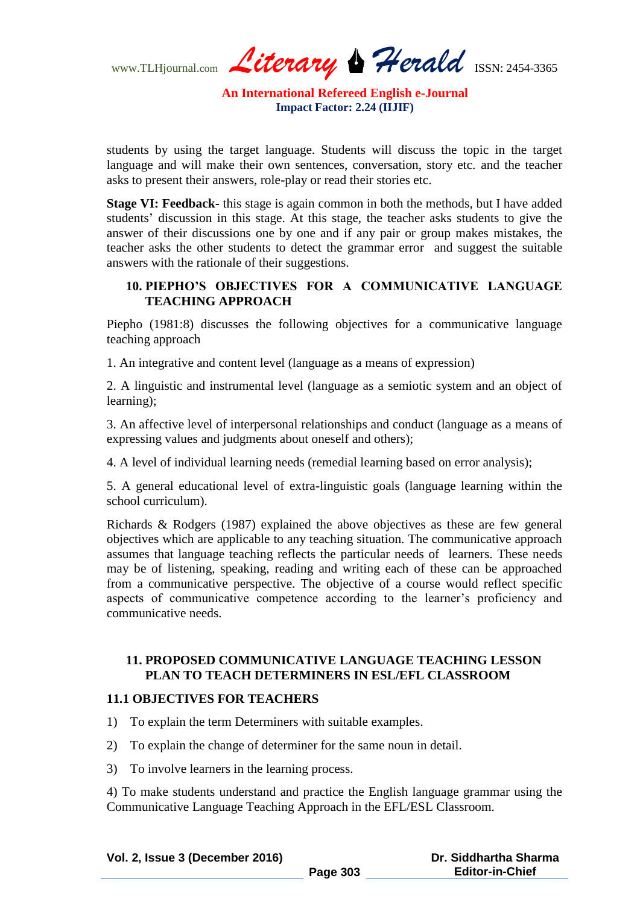www.TLHjournal.com *Literary Herald*ISSN: 2454-3365

students by using the target language. Students will discuss the topic in the target language and will make their own sentences, conversation, story etc. and the teacher asks to present their answers, role-play or read their stories etc.

**Stage VI: Feedback-** this stage is again common in both the methods, but I have added students' discussion in this stage. At this stage, the teacher asks students to give the answer of their discussions one by one and if any pair or group makes mistakes, the teacher asks the other students to detect the grammar error and suggest the suitable answers with the rationale of their suggestions.

# **10. PIEPHO'S OBJECTIVES FOR A COMMUNICATIVE LANGUAGE TEACHING APPROACH**

Piepho (1981:8) discusses the following objectives for a communicative language teaching approach

1. An integrative and content level (language as a means of expression)

2. A linguistic and instrumental level (language as a semiotic system and an object of learning);

3. An affective level of interpersonal relationships and conduct (language as a means of expressing values and judgments about oneself and others);

4. A level of individual learning needs (remedial learning based on error analysis);

5. A general educational level of extra-linguistic goals (language learning within the school curriculum).

Richards & Rodgers (1987) explained the above objectives as these are few general objectives which are applicable to any teaching situation. The communicative approach assumes that language teaching reflects the particular needs of learners. These needs may be of listening, speaking, reading and writing each of these can be approached from a communicative perspective. The objective of a course would reflect specific aspects of communicative competence according to the learner's proficiency and communicative needs.

# **11. PROPOSED COMMUNICATIVE LANGUAGE TEACHING LESSON PLAN TO TEACH DETERMINERS IN ESL/EFL CLASSROOM**

# **11.1 OBJECTIVES FOR TEACHERS**

- 1) To explain the term Determiners with suitable examples.
- 2) To explain the change of determiner for the same noun in detail.
- 3) To involve learners in the learning process.

4) To make students understand and practice the English language grammar using the Communicative Language Teaching Approach in the EFL/ESL Classroom.

| Vol. 2, Issue 3 (December 2016) |          | Dr. Siddhartha Sharma  |
|---------------------------------|----------|------------------------|
|                                 | Page 303 | <b>Editor-in-Chief</b> |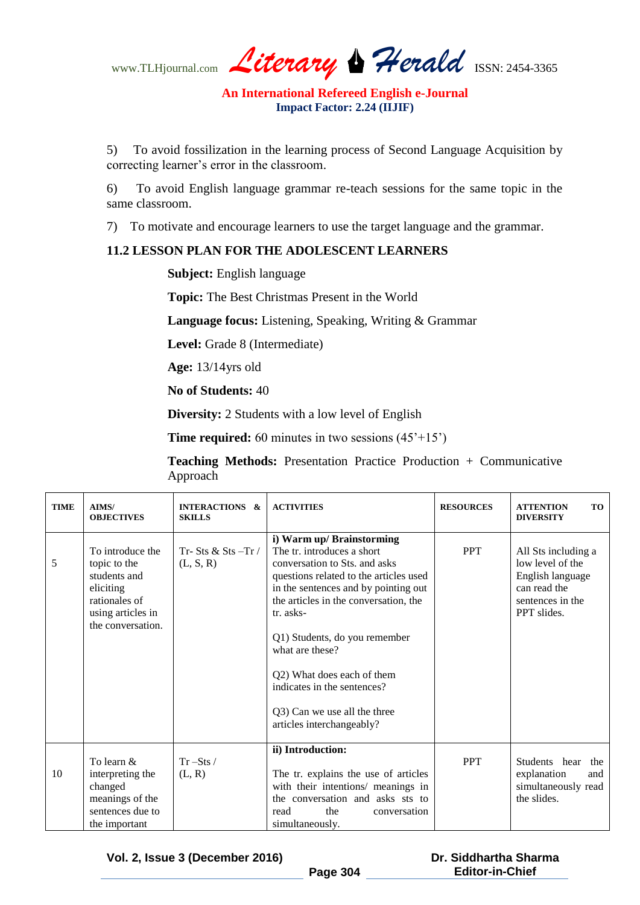www.TLHjournal.com *Literary Herald*ISSN: 2454-3365

5) To avoid fossilization in the learning process of Second Language Acquisition by correcting learner's error in the classroom.

6) To avoid English language grammar re-teach sessions for the same topic in the same classroom.

7) To motivate and encourage learners to use the target language and the grammar.

# **11.2 LESSON PLAN FOR THE ADOLESCENT LEARNERS**

**Subject:** English language

**Topic:** The Best Christmas Present in the World

**Language focus:** Listening, Speaking, Writing & Grammar

**Level:** Grade 8 (Intermediate)

**Age:** 13/14yrs old

**No of Students:** 40

**Diversity:** 2 Students with a low level of English

**Time required:** 60 minutes in two sessions  $(45'+15')$ 

**Teaching Methods:** Presentation Practice Production + Communicative Approach

| <b>TIME</b> | AIMS/<br><b>OBJECTIVES</b>                                                                                               | <b>INTERACTIONS &amp;</b><br><b>SKILLS</b> | <b>ACTIVITIES</b>                                                                                                                                                                                                                                                                                                                                                                                              | <b>RESOURCES</b> | <b>ATTENTION</b><br>TO <sup>1</sup><br><b>DIVERSITY</b>                                                        |
|-------------|--------------------------------------------------------------------------------------------------------------------------|--------------------------------------------|----------------------------------------------------------------------------------------------------------------------------------------------------------------------------------------------------------------------------------------------------------------------------------------------------------------------------------------------------------------------------------------------------------------|------------------|----------------------------------------------------------------------------------------------------------------|
| 5           | To introduce the<br>topic to the<br>students and<br>eliciting<br>rationales of<br>using articles in<br>the conversation. | Tr-Sts & Sts-Tr $/$<br>(L, S, R)           | i) Warm up/ Brainstorming<br>The tr. introduces a short<br>conversation to Sts. and asks<br>questions related to the articles used<br>in the sentences and by pointing out<br>the articles in the conversation, the<br>tr. asks-<br>Q1) Students, do you remember<br>what are these?<br>Q2) What does each of them<br>indicates in the sentences?<br>Q3) Can we use all the three<br>articles interchangeably? | <b>PPT</b>       | All Sts including a<br>low level of the<br>English language<br>can read the<br>sentences in the<br>PPT slides. |
| 10          | To learn &<br>interpreting the<br>changed<br>meanings of the<br>sentences due to<br>the important                        | $Tr - Sts$<br>(L, R)                       | ii) Introduction:<br>The tr. explains the use of articles<br>with their intentions/ meanings in<br>the conversation and asks sts to<br>the<br>read<br>conversation<br>simultaneously.                                                                                                                                                                                                                          | <b>PPT</b>       | Students hear<br>the<br>explanation<br>and<br>simultaneously read<br>the slides.                               |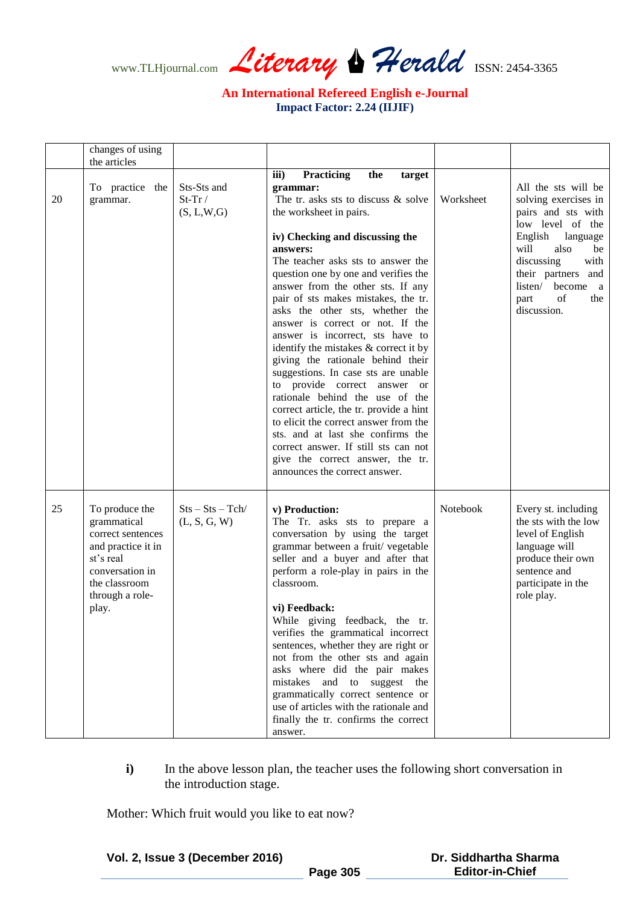www.TLHjournal.com *Literary Herald*ISSN: 2454-3365

|    | changes of using<br>the articles                                                                                                                      |                                         |                                                                                                                                                                                                                                                                                                                                                                                                                                                                                                                                                                                                                                                                                                                                                                                                                                                                            |           |                                                                                                                                                                                                                                             |
|----|-------------------------------------------------------------------------------------------------------------------------------------------------------|-----------------------------------------|----------------------------------------------------------------------------------------------------------------------------------------------------------------------------------------------------------------------------------------------------------------------------------------------------------------------------------------------------------------------------------------------------------------------------------------------------------------------------------------------------------------------------------------------------------------------------------------------------------------------------------------------------------------------------------------------------------------------------------------------------------------------------------------------------------------------------------------------------------------------------|-----------|---------------------------------------------------------------------------------------------------------------------------------------------------------------------------------------------------------------------------------------------|
| 20 | To practice the<br>grammar.                                                                                                                           | Sts-Sts and<br>$St-Tr/$<br>(S, L, W, G) | iii)<br><b>Practicing</b><br>the<br>target<br>grammar:<br>The tr. asks sts to discuss & solve<br>the worksheet in pairs.<br>iv) Checking and discussing the<br>answers:<br>The teacher asks sts to answer the<br>question one by one and verifies the<br>answer from the other sts. If any<br>pair of sts makes mistakes, the tr.<br>asks the other sts, whether the<br>answer is correct or not. If the<br>answer is incorrect, sts have to<br>identify the mistakes & correct it by<br>giving the rationale behind their<br>suggestions. In case sts are unable<br>to provide correct answer or<br>rationale behind the use of the<br>correct article, the tr. provide a hint<br>to elicit the correct answer from the<br>sts. and at last she confirms the<br>correct answer. If still sts can not<br>give the correct answer, the tr.<br>announces the correct answer. | Worksheet | All the sts will be<br>solving exercises in<br>pairs and sts with<br>low level of the<br>English<br>language<br>will<br>also<br>be<br>discussing<br>with<br>their partners and<br>listen/ become<br>a a<br>of<br>the<br>part<br>discussion. |
| 25 | To produce the<br>grammatical<br>correct sentences<br>and practice it in<br>st's real<br>conversation in<br>the classroom<br>through a role-<br>play. | $Sts - Sts - Tch/$<br>(L, S, G, W)      | v) Production:<br>The Tr. asks sts to prepare a<br>conversation by using the target<br>grammar between a fruit/ vegetable<br>seller and a buyer and after that<br>perform a role-play in pairs in the<br>classroom.<br>vi) Feedback:<br>While giving feedback, the tr.<br>verifies the grammatical incorrect<br>sentences, whether they are right or<br>not from the other sts and again<br>asks where did the pair makes<br>mistakes and to suggest the<br>grammatically correct sentence or<br>use of articles with the rationale and<br>finally the tr. confirms the correct<br>answer.                                                                                                                                                                                                                                                                                 | Notebook  | Every st. including<br>the sts with the low<br>level of English<br>language will<br>produce their own<br>sentence and<br>participate in the<br>role play.                                                                                   |

**i**) In the above lesson plan, the teacher uses the following short conversation in the introduction stage.

Mother: Which fruit would you like to eat now?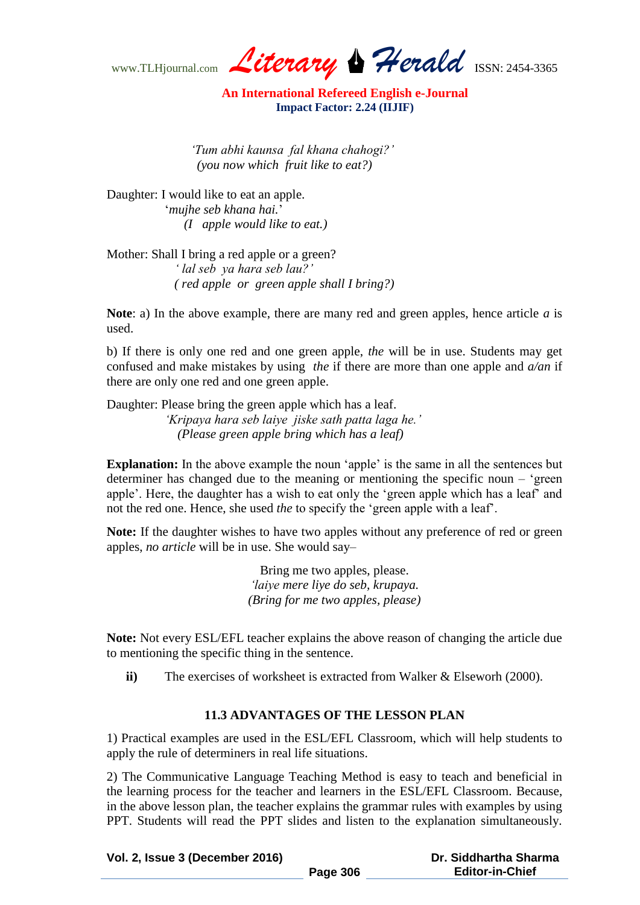www.TLHjournal.com *Literary Herald*ISSN: 2454-3365

 *'Tum abhi kaunsa fal khana chahogi?' (you now which fruit like to eat?)*

Daughter: I would like to eat an apple. ‗*mujhe seb khana hai.*' *(I apple would like to eat.)*

Mother: Shall I bring a red apple or a green?  *' lal seb ya hara seb lau?' ( red apple or green apple shall I bring?)*

**Note**: a) In the above example, there are many red and green apples, hence article *a* is used.

b) If there is only one red and one green apple, *the* will be in use. Students may get confused and make mistakes by using *the* if there are more than one apple and *a/an* if there are only one red and one green apple.

Daughter: Please bring the green apple which has a leaf. *'Kripaya hara seb laiye jiske sath patta laga he.' (Please green apple bring which has a leaf)*

**Explanation:** In the above example the noun 'apple' is the same in all the sentences but determiner has changed due to the meaning or mentioning the specific noun  $-$  'green apple'. Here, the daughter has a wish to eat only the 'green apple which has a leaf' and not the red one. Hence, she used *the* to specify the 'green apple with a leaf'.

**Note:** If the daughter wishes to have two apples without any preference of red or green apples, *no article* will be in use. She would say–

> Bring me two apples, please. *'laiye mere liye do seb, krupaya. (Bring for me two apples, please)*

**Note:** Not every ESL/EFL teacher explains the above reason of changing the article due to mentioning the specific thing in the sentence.

**ii**) The exercises of worksheet is extracted from Walker & Elseworh (2000).

# **11.3 ADVANTAGES OF THE LESSON PLAN**

1) Practical examples are used in the ESL/EFL Classroom, which will help students to apply the rule of determiners in real life situations.

2) The Communicative Language Teaching Method is easy to teach and beneficial in the learning process for the teacher and learners in the ESL/EFL Classroom. Because, in the above lesson plan, the teacher explains the grammar rules with examples by using PPT. Students will read the PPT slides and listen to the explanation simultaneously.

| Vol. 2, Issue 3 (December 2016) |          | Dr. Siddhartha Sharma  |  |
|---------------------------------|----------|------------------------|--|
|                                 | Page 306 | <b>Editor-in-Chief</b> |  |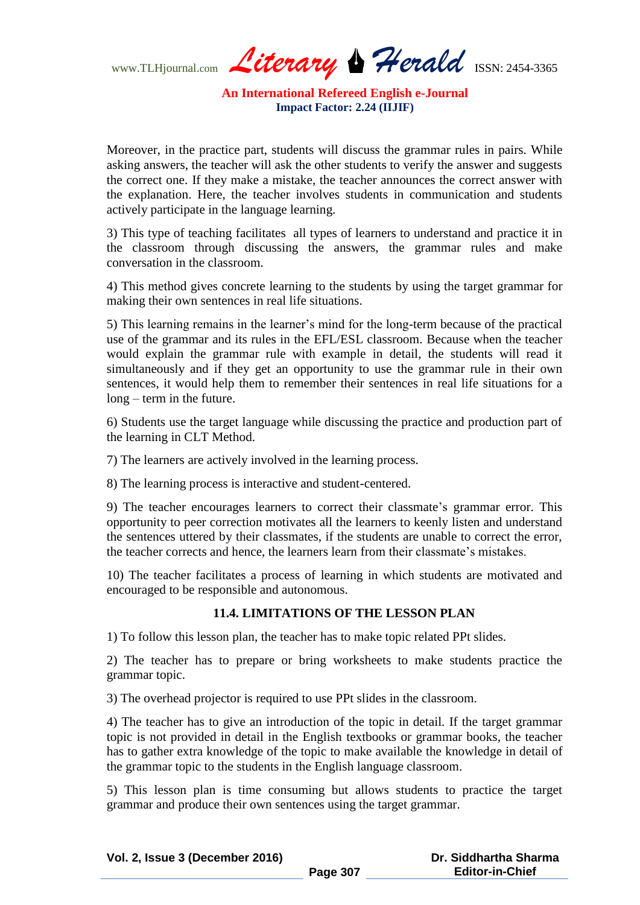www.TLHjournal.com *Literary Herald*ISSN: 2454-3365

Moreover, in the practice part, students will discuss the grammar rules in pairs. While asking answers, the teacher will ask the other students to verify the answer and suggests the correct one. If they make a mistake, the teacher announces the correct answer with the explanation. Here, the teacher involves students in communication and students actively participate in the language learning.

3) This type of teaching facilitates all types of learners to understand and practice it in the classroom through discussing the answers, the grammar rules and make conversation in the classroom.

4) This method gives concrete learning to the students by using the target grammar for making their own sentences in real life situations.

5) This learning remains in the learner's mind for the long-term because of the practical use of the grammar and its rules in the EFL/ESL classroom. Because when the teacher would explain the grammar rule with example in detail, the students will read it simultaneously and if they get an opportunity to use the grammar rule in their own sentences, it would help them to remember their sentences in real life situations for a long – term in the future.

6) Students use the target language while discussing the practice and production part of the learning in CLT Method.

7) The learners are actively involved in the learning process.

8) The learning process is interactive and student-centered.

9) The teacher encourages learners to correct their classmate's grammar error. This opportunity to peer correction motivates all the learners to keenly listen and understand the sentences uttered by their classmates, if the students are unable to correct the error, the teacher corrects and hence, the learners learn from their classmate's mistakes.

10) The teacher facilitates a process of learning in which students are motivated and encouraged to be responsible and autonomous.

# **11.4. LIMITATIONS OF THE LESSON PLAN**

1) To follow this lesson plan, the teacher has to make topic related PPt slides.

2) The teacher has to prepare or bring worksheets to make students practice the grammar topic.

3) The overhead projector is required to use PPt slides in the classroom.

4) The teacher has to give an introduction of the topic in detail. If the target grammar topic is not provided in detail in the English textbooks or grammar books, the teacher has to gather extra knowledge of the topic to make available the knowledge in detail of the grammar topic to the students in the English language classroom.

5) This lesson plan is time consuming but allows students to practice the target grammar and produce their own sentences using the target grammar.

| Vol. 2, Issue 3 (December 2016) |                 | Dr. Siddhartha Sharma  |
|---------------------------------|-----------------|------------------------|
|                                 | <b>Page 307</b> | <b>Editor-in-Chief</b> |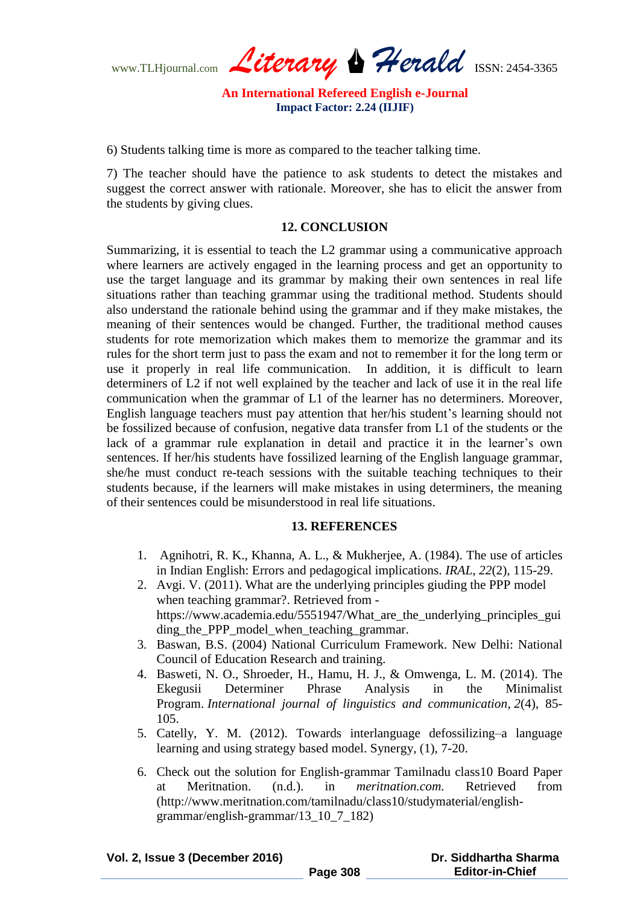www.TLHjournal.com *Literary Herald*ISSN: 2454-3365

6) Students talking time is more as compared to the teacher talking time.

7) The teacher should have the patience to ask students to detect the mistakes and suggest the correct answer with rationale. Moreover, she has to elicit the answer from the students by giving clues.

#### **12. CONCLUSION**

Summarizing, it is essential to teach the L2 grammar using a communicative approach where learners are actively engaged in the learning process and get an opportunity to use the target language and its grammar by making their own sentences in real life situations rather than teaching grammar using the traditional method. Students should also understand the rationale behind using the grammar and if they make mistakes, the meaning of their sentences would be changed. Further, the traditional method causes students for rote memorization which makes them to memorize the grammar and its rules for the short term just to pass the exam and not to remember it for the long term or use it properly in real life communication. In addition, it is difficult to learn determiners of L2 if not well explained by the teacher and lack of use it in the real life communication when the grammar of L1 of the learner has no determiners. Moreover, English language teachers must pay attention that her/his student's learning should not be fossilized because of confusion, negative data transfer from L1 of the students or the lack of a grammar rule explanation in detail and practice it in the learner's own sentences. If her/his students have fossilized learning of the English language grammar, she/he must conduct re-teach sessions with the suitable teaching techniques to their students because, if the learners will make mistakes in using determiners, the meaning of their sentences could be misunderstood in real life situations.

# **13. REFERENCES**

- 1. Agnihotri, R. K., Khanna, A. L., & Mukherjee, A. (1984). The use of articles in Indian English: Errors and pedagogical implications. *IRAL*, *22*(2), 115-29.
- 2. Avgi. V. (2011). What are the underlying principles giuding the PPP model when teaching grammar?. Retrieved from https://www.academia.edu/5551947/What\_are\_the\_underlying\_principles\_gui ding the PPP model when teaching grammar.
- 3. Baswan, B.S. (2004) National Curriculum Framework. New Delhi: National Council of Education Research and training.
- 4. Basweti, N. O., Shroeder, H., Hamu, H. J., & Omwenga, L. M. (2014). The Ekegusii Determiner Phrase Analysis in the Minimalist Program. *International journal of linguistics and communication*, *2*(4), 85- 105.
- 5. Catelly, Y. M. (2012). Towards interlanguage defossilizing–a language learning and using strategy based model. Synergy, (1), 7-20.
- 6. Check out the solution for English-grammar Tamilnadu class10 Board Paper at Meritnation. (n.d.). in *meritnation.com.* Retrieved from (http://www.meritnation.com/tamilnadu/class10/studymaterial/englishgrammar/english-grammar/13\_10\_7\_182)

| Vol. 2, Issue 3 (December 2016) |  |
|---------------------------------|--|
|---------------------------------|--|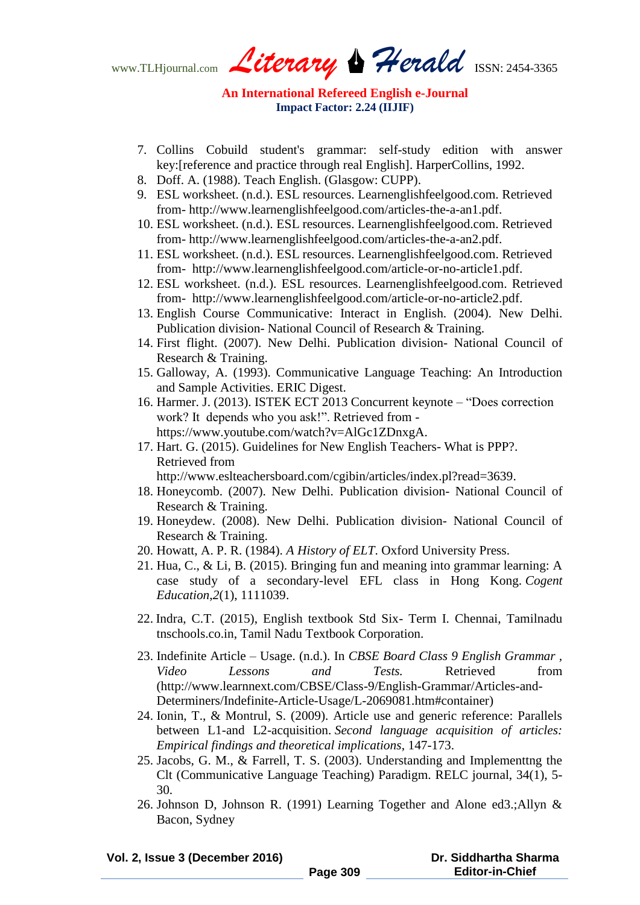www.TLHjournal.com *Literary Herald*ISSN: 2454-3365

- 7. Collins Cobuild student's grammar: self-study edition with answer key:[reference and practice through real English]. HarperCollins, 1992.
- 8. Doff. A. (1988). Teach English. (Glasgow: CUPP).
- 9. ESL worksheet. (n.d.). ESL resources. Learnenglishfeelgood.com. Retrieved from- http://www.learnenglishfeelgood.com/articles-the-a-an1.pdf.
- 10. ESL worksheet. (n.d.). ESL resources. Learnenglishfeelgood.com. Retrieved from- http://www.learnenglishfeelgood.com/articles-the-a-an2.pdf.
- 11. ESL worksheet. (n.d.). ESL resources. Learnenglishfeelgood.com. Retrieved from- http://www.learnenglishfeelgood.com/article-or-no-article1.pdf.
- 12. ESL worksheet. (n.d.). ESL resources. Learnenglishfeelgood.com. Retrieved from- http://www.learnenglishfeelgood.com/article-or-no-article2.pdf.
- 13. English Course Communicative: Interact in English. (2004). New Delhi. Publication division- National Council of Research & Training.
- 14. First flight. (2007). New Delhi. Publication division- National Council of Research & Training.
- 15. Galloway, A. (1993). Communicative Language Teaching: An Introduction and Sample Activities. ERIC Digest.
- 16. Harmer. J. (2013). ISTEK ECT 2013 Concurrent keynote "Does correction work? It depends who you ask!". Retrieved from https://www.youtube.com/watch?v=AlGc1ZDnxgA.
- 17. Hart. G. (2015). Guidelines for New English Teachers- What is PPP?. Retrieved from http://www.eslteachersboard.com/cgibin/articles/index.pl?read=3639.
- 18. Honeycomb. (2007). New Delhi. Publication division- National Council of Research & Training.
- 19. Honeydew. (2008). New Delhi. Publication division- National Council of Research & Training.
- 20. Howatt, A. P. R. (1984). *A History of ELT*. Oxford University Press.
- 21. Hua, C., & Li, B. (2015). Bringing fun and meaning into grammar learning: A case study of a secondary-level EFL class in Hong Kong. *Cogent Education*,*2*(1), 1111039.
- 22. Indra, C.T. (2015), English textbook Std Six- Term I. Chennai, Tamilnadu tnschools.co.in, Tamil Nadu Textbook Corporation.
- 23. Indefinite Article Usage. (n.d.). In *CBSE Board Class 9 English Grammar , Video Lessons and Tests.* Retrieved from (http://www.learnnext.com/CBSE/Class-9/English-Grammar/Articles-and-Determiners/Indefinite-Article-Usage/L-2069081.htm#container)
- 24. Ionin, T., & Montrul, S. (2009). Article use and generic reference: Parallels between L1-and L2-acquisition. *Second language acquisition of articles: Empirical findings and theoretical implications*, 147-173.
- 25. Jacobs, G. M., & Farrell, T. S. (2003). Understanding and Implementtng the Clt (Communicative Language Teaching) Paradigm. RELC journal, 34(1), 5- 30.
- 26. Johnson D, Johnson R. (1991) Learning Together and Alone ed3.;Allyn & Bacon, Sydney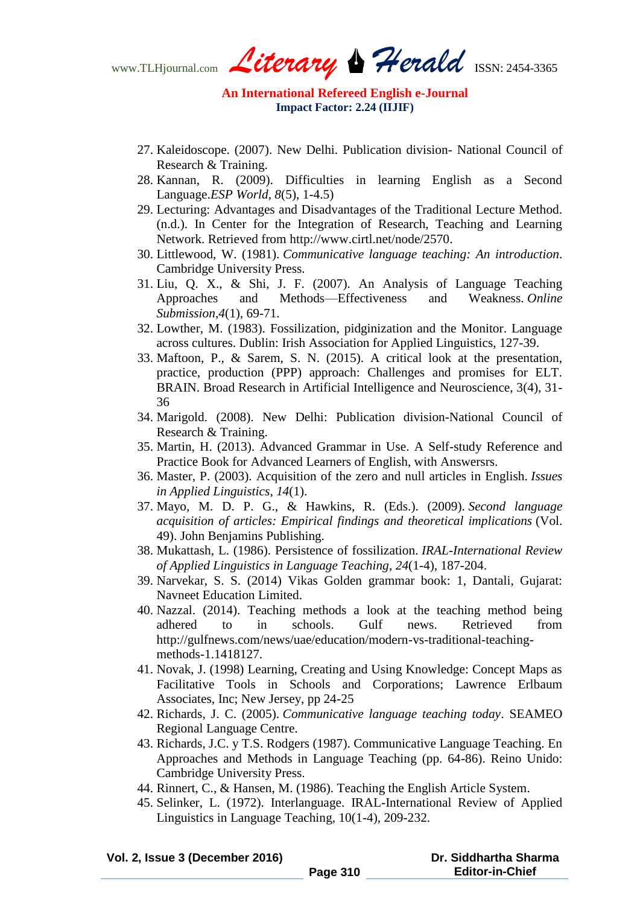www.TLHjournal.com *Literary Herald*ISSN: 2454-3365

- 27. Kaleidoscope. (2007). New Delhi. Publication division- National Council of Research & Training.
- 28. Kannan, R. (2009). Difficulties in learning English as a Second Language.*ESP World*, *8*(5), 1-4.5)
- 29. Lecturing: Advantages and Disadvantages of the Traditional Lecture Method. (n.d.). In Center for the Integration of Research, Teaching and Learning Network. Retrieved from http://www.cirtl.net/node/2570.
- 30. Littlewood, W. (1981). *Communicative language teaching: An introduction*. Cambridge University Press.
- 31. Liu, Q. X., & Shi, J. F. (2007). An Analysis of Language Teaching Approaches and Methods—Effectiveness and Weakness. *Online Submission*,*4*(1), 69-71.
- 32. Lowther, M. (1983). Fossilization, pidginization and the Monitor. Language across cultures. Dublin: Irish Association for Applied Linguistics, 127-39.
- 33. Maftoon, P., & Sarem, S. N. (2015). A critical look at the presentation, practice, production (PPP) approach: Challenges and promises for ELT. BRAIN. Broad Research in Artificial Intelligence and Neuroscience, 3(4), 31- 36
- 34. Marigold. (2008). New Delhi: Publication division-National Council of Research & Training.
- 35. Martin, H. (2013). Advanced Grammar in Use. A Self-study Reference and Practice Book for Advanced Learners of English, with Answersrs.
- 36. Master, P. (2003). Acquisition of the zero and null articles in English. *Issues in Applied Linguistics*, *14*(1).
- 37. Mayo, M. D. P. G., & Hawkins, R. (Eds.). (2009). *Second language acquisition of articles: Empirical findings and theoretical implications* (Vol. 49). John Benjamins Publishing.
- 38. Mukattash, L. (1986). Persistence of fossilization. *IRAL-International Review of Applied Linguistics in Language Teaching*, *24*(1-4), 187-204.
- 39. Narvekar, S. S. (2014) Vikas Golden grammar book: 1, Dantali, Gujarat: Navneet Education Limited.
- 40. Nazzal. (2014). Teaching methods a look at the teaching method being adhered to in schools. Gulf news. Retrieved from http://gulfnews.com/news/uae/education/modern-vs-traditional-teachingmethods-1.1418127.
- 41. Novak, J. (1998) Learning, Creating and Using Knowledge: Concept Maps as Facilitative Tools in Schools and Corporations; Lawrence Erlbaum Associates, Inc; New Jersey, pp 24-25
- 42. Richards, J. C. (2005). *Communicative language teaching today*. SEAMEO Regional Language Centre.
- 43. Richards, J.C. y T.S. Rodgers (1987). Communicative Language Teaching. En Approaches and Methods in Language Teaching (pp. 64-86). Reino Unido: Cambridge University Press.
- 44. Rinnert, C., & Hansen, M. (1986). Teaching the English Article System.
- 45. Selinker, L. (1972). Interlanguage. IRAL-International Review of Applied Linguistics in Language Teaching, 10(1-4), 209-232.

| Vol. 2, Issue 3 (December 2016) |          | Dr. Siddhartha Sharma  |  |
|---------------------------------|----------|------------------------|--|
|                                 | Page 310 | <b>Editor-in-Chief</b> |  |